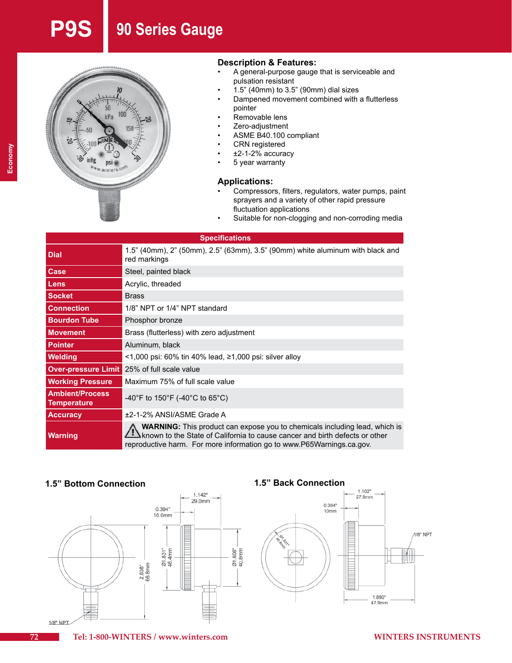# **P9S 90 Series Gauge**



### **Description & Features:**

- • A general-purpose gauge that is serviceable and pulsation resistant
- $1.5"$  (40mm) to  $3.5"$  (90mm) dial sizes
- Dampened movement combined with a flutterless pointer
- Removable lens
- Zero-adjustment
- ASME B40.100 compliant
- CRN registered
- $±2-1-2%$  accuracy
	- 5 year warranty

### **Applications:**

- Compressors, filters, regulators, water pumps, paint sprayers and a variety of other rapid pressure fluctuation applications
- Suitable for non-clogging and non-corroding media

| <b>Specifications</b>                        |                                                                                                                                                                                                                                           |  |  |  |  |  |  |  |  |
|----------------------------------------------|-------------------------------------------------------------------------------------------------------------------------------------------------------------------------------------------------------------------------------------------|--|--|--|--|--|--|--|--|
| <b>Dial</b>                                  | 1.5" (40mm), 2" (50mm), 2.5" (63mm), 3.5" (90mm) white aluminum with black and<br>red markings                                                                                                                                            |  |  |  |  |  |  |  |  |
| <b>Case</b>                                  | Steel, painted black                                                                                                                                                                                                                      |  |  |  |  |  |  |  |  |
| <b>Lens</b>                                  | Acrylic, threaded                                                                                                                                                                                                                         |  |  |  |  |  |  |  |  |
| <b>Socket</b>                                | <b>Brass</b>                                                                                                                                                                                                                              |  |  |  |  |  |  |  |  |
| <b>Connection</b>                            | 1/8" NPT or 1/4" NPT standard                                                                                                                                                                                                             |  |  |  |  |  |  |  |  |
| <b>Bourdon Tube</b>                          | Phosphor bronze                                                                                                                                                                                                                           |  |  |  |  |  |  |  |  |
| <b>Movement</b>                              | Brass (flutterless) with zero adjustment                                                                                                                                                                                                  |  |  |  |  |  |  |  |  |
| <b>Pointer</b>                               | Aluminum, black                                                                                                                                                                                                                           |  |  |  |  |  |  |  |  |
| <b>Welding</b>                               | $\le$ 1,000 psi: 60% tin 40% lead, $\ge$ 1,000 psi: silver alloy                                                                                                                                                                          |  |  |  |  |  |  |  |  |
|                                              | <b>Over-pressure Limit</b> 25% of full scale value                                                                                                                                                                                        |  |  |  |  |  |  |  |  |
| <b>Working Pressure</b>                      | Maximum 75% of full scale value                                                                                                                                                                                                           |  |  |  |  |  |  |  |  |
| <b>Ambient/Process</b><br><b>Temperature</b> | -40°F to 150°F (-40°C to 65°C)                                                                                                                                                                                                            |  |  |  |  |  |  |  |  |
| <b>Accuracy</b>                              | ±2-1-2% ANSI/ASME Grade A                                                                                                                                                                                                                 |  |  |  |  |  |  |  |  |
| <b>Warning</b>                               | <b>WARNING:</b> This product can expose you to chemicals including lead, which is<br>known to the State of California to cause cancer and birth defects or other<br>reproductive harm. For more information go to www.P65Warnings.ca.gov. |  |  |  |  |  |  |  |  |

Ø1.606"<br>40.8mm

## **1.5" Bottom Connection 1.5" Back Connection**



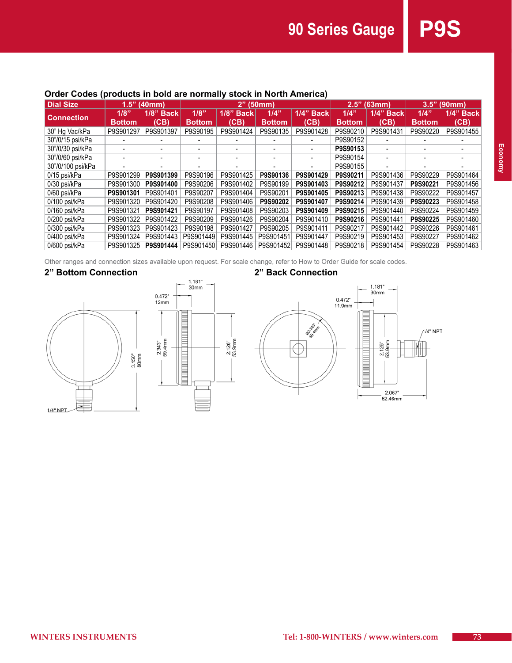**90 Series Gauge P9S** 

# **Order Codes (products in bold are normally stock in North America)**

| Dial Size         | 1.5"<br>(40mm) |              | (50mm)<br>2"  |              |               |              | (63mm)<br>2.5" |                          | 3.5"<br>(90mm) |              |
|-------------------|----------------|--------------|---------------|--------------|---------------|--------------|----------------|--------------------------|----------------|--------------|
| <b>Connection</b> | 1/8"           | $1/8$ " Back | 1/8"          | $1/8$ " Back | 1/4"          | $1/4$ " Back | 1/4"           | $1/4$ " Back             | 1/4"           | $1/4$ " Back |
|                   | <b>Bottom</b>  | (CB)         | <b>Bottom</b> | (CB)         | <b>Bottom</b> | (CB)         | <b>Bottom</b>  | (CB)                     | <b>Bottom</b>  | (CB)         |
| 30" Hg Vac/kPa    | P9S901297      | P9S901397    | P9S90195      | P9S901424    | P9S90135      | P9S901428    | P9S90210       | P9S901431                | P9S90220       | P9S901455    |
| 30"/0/15 psi/kPa  |                |              |               |              |               |              | P9S90152       |                          |                |              |
| 30"/0/30 psi/kPa  |                |              |               |              |               |              | P9S90153       |                          |                |              |
| 30"/0/60 psi/kPa  |                |              |               |              |               |              | P9S90154       | $\overline{\phantom{0}}$ |                |              |
| 30"/0/100 psi/kPa |                |              |               |              |               |              | P9S90155       |                          |                |              |
| 0/15 psi/kPa      | P9S901299      | P9S901399    | P9S90196      | P9S901425    | P9S90136      | P9S901429    | P9S90211       | P9S901436                | P9S90229       | P9S901464    |
| 0/30 psi/kPa      | P9S901300      | P9S901400    | P9S90206      | P9S901402    | P9S90199      | P9S901403    | P9S90212       | P9S901437                | P9S90221       | P9S901456    |
| 0/60 psi/kPa      | P9S901301      | P9S901401    | P9S90207      | P9S901404    | P9S90201      | P9S901405    | P9S90213       | P9S901438                | P9S90222       | P9S901457    |
| 0/100 psi/kPa     | P9S901320      | P9S901420    | P9S90208      | P9S901406    | P9S90202      | P9S901407    | P9S90214       | P9S901439                | P9S90223       | P9S901458    |
| 0/160 psi/kPa     | P9S901321      | P9S901421    | P9S90197      | P9S901408    | P9S90203      | P9S901409    | P9S90215       | P9S901440                | P9S90224       | P9S901459    |
| 0/200 psi/kPa     | P9S901322      | P9S901422    | P9S90209      | P9S901426    | P9S90204      | P9S901410    | P9S90216       | P9S901441                | P9S90225       | P9S901460    |
| 0/300 psi/kPa     | P9S901323      | P9S901423    | P9S90198      | P9S901427    | P9S90205      | P9S901411    | P9S90217       | P9S901442                | P9S90226       | P9S901461    |
| 0/400 psi/kPa     | P9S901324      | P9S901443    | P9S901449     | P9S901445    | P9S901451     | P9S901447    | P9S90219       | P9S901453                | P9S90227       | P9S901462    |
| 0/600 psi/kPa     | P9S901325      | P9S901444    | P9S901450     | P9S901446    | P9S901452     | P9S901448    | P9S90218       | P9S901454                | P9S90228       | P9S901463    |

Other ranges and connection sizes available upon request. For scale change, refer to How to Order Guide for scale codes.